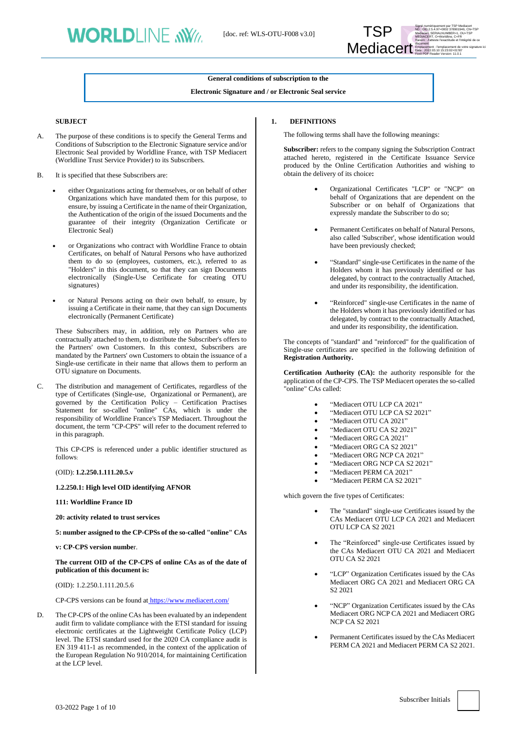

## **General conditions of subscription to the**

#### **Electronic Signature and / or Electronic Seal service**

#### **SUBJECT**

- A. The purpose of these conditions is to specify the General Terms and Conditions of Subscription to the Electronic Signature service and/or Electronic Seal provided by Worldline France, with TSP Mediacert (Worldline Trust Service Provider) to its Subscribers.
- B. It is specified that these Subscribers are:
	- either Organizations acting for themselves, or on behalf of other Organizations which have mandated them for this purpose, to ensure, by issuing a Certificate in the name of their Organization, the Authentication of the origin of the issued Documents and the guarantee of their integrity (Organization Certificate or Electronic Seal)
	- or Organizations who contract with Worldline France to obtain Certificates, on behalf of Natural Persons who have authorized them to do so (employees, customers, etc.), referred to as "Holders" in this document, so that they can sign Documents electronically (Single-Use Certificate for creating OTU signatures)
	- or Natural Persons acting on their own behalf, to ensure, by issuing a Certificate in their name, that they can sign Documents electronically (Permanent Certificate)

These Subscribers may, in addition, rely on Partners who are contractually attached to them, to distribute the Subscriber's offers to the Partners' own Customers. In this context, Subscribers are mandated by the Partners' own Customers to obtain the issuance of a Single-use certificate in their name that allows them to perform an OTU signature on Documents.

C. The distribution and management of Certificates, regardless of the type of Certificates (Single-use, Organizational or Permanent), are governed by the Certification Policy – Certification Practises Statement for so-called "online" CAs, which is under the responsibility of Worldline France's TSP Mediacert. Throughout the document, the term "CP-CPS" will refer to the document referred to in this paragraph.

This CP-CPS is referenced under a public identifier structured as follows:

(OID): **1.2.250.1.111.20.5.v**

**1.2.250.1: High level OID identifying AFNOR**

**111: Worldline France ID**

**20: activity related to trust services**

**5: number assigned to the CP-CPSs of the so-called "online" CAs**

**v: CP-CPS version numbe**r.

**The current OID of the CP-CPS of online CAs as of the date of publication of this document is:**

(OID): 1.2.250.1.111.20.5.6

CP-CPS versions can be found at <https://www.mediacert.com/>

D. The CP-CPS of the online CAs has been evaluated by an independent audit firm to validate compliance with the ETSI standard for issuing electronic certificates at the Lightweight Certificate Policy (LCP) level. The ETSI standard used for the 2020 CA compliance audit is EN 319 411-1 as recommended, in the context of the application of the European Regulation No 910/2014, for maintaining Certification at the LCP level.

#### <span id="page-0-0"></span>**1. DEFINITIONS**

The following terms shall have the following meanings:

**Subscriber:** refers to the company signing the Subscription Contract attached hereto, registered in the Certificate Issuance Service produced by the Online Certification Authorities and wishing to obtain the delivery of its choice**:**

- Organizational Certificates "LCP" or "NCP" on behalf of Organizations that are dependent on the Subscriber or on behalf of Organizations that expressly mandate the Subscriber to do so;
- Permanent Certificates on behalf of Natural Persons, also called 'Subscriber', whose identification would have been previously checked;
- "Standard" single-use Certificates in the name of the Holders whom it has previously identified or has delegated, by contract to the contractually Attached, and under its responsibility, the identification.
- "Reinforced" single-use Certificates in the name of the Holders whom it has previously identified or has delegated, by contract to the contractually Attached, and under its responsibility, the identification.

The concepts of "standard" and "reinforced" for the qualification of Single-use certificates are specified in the following definition of **Registration Authority.**

**Certification Authority (CA):** the authority responsible for the application of the CP-CPS. The TSP Mediacert operates the so-called "online" CAs called:

- "Mediacert OTU LCP CA 2021"
- "Mediacert OTU LCP CA S2 2021"
- "Mediacert OTU CA 2021"
- "Mediacert OTU CA S2 2021"
- "Mediacert ORG CA 2021"
- "Mediacert ORG CA S2 2021"
- "Mediacert ORG NCP CA 2021"
- "Mediacert ORG NCP CA S2 2021"
- "Mediacert PERM CA 2021"
- "Mediacert PERM CA S2 2021"

which govern the five types of Certificates:

- The "standard" single-use Certificates issued by the CAs Mediacert OTU LCP CA 2021 and Mediacert OTU LCP CA S2 2021
- The "Reinforced" single-use Certificates issued by the CAs Mediacert OTU CA 2021 and Mediacert OTU CA S2 2021
- "LCP" Organization Certificates issued by the CAs Mediacert ORG CA 2021 and Mediacert ORG CA S2 2021
- "NCP" Organization Certificates issued by the CAs Mediacert ORG NCP CA 2021 and Mediacert ORG NCP CA S2 2021
- Permanent Certificates issued by the CAs Mediacert PERM CA 2021 and Mediacert PERM CA S2 2021.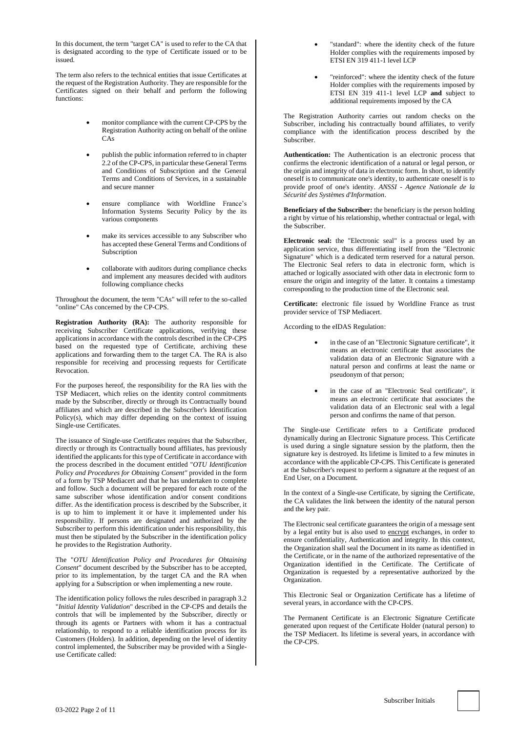In this document, the term "target CA" is used to refer to the CA that is designated according to the type of Certificate issued or to be issued.

The term also refers to the technical entities that issue Certificates at the request of the Registration Authority. They are responsible for the Certificates signed on their behalf and perform the following functions:

- monitor compliance with the current CP-CPS by the Registration Authority acting on behalf of the online CAs
- publish the public information referred to in chapter 2.2 of the CP-CPS, in particular these General Terms and Conditions of Subscription and the General Terms and Conditions of Services, in a sustainable and secure manner
- ensure compliance with Worldline France's Information Systems Security Policy by the its various components
- make its services accessible to any Subscriber who has accepted these General Terms and Conditions of **Subscription**
- collaborate with auditors during compliance checks and implement any measures decided with auditors following compliance checks

Throughout the document, the term "CAs" will refer to the so-called "online" CAs concerned by the CP-CPS.

**Registration Authority (RA):** The authority responsible for receiving Subscriber Certificate applications, verifying these applications in accordance with the controls described in the CP-CPS based on the requested type of Certificate, archiving these applications and forwarding them to the target CA. The RA is also responsible for receiving and processing requests for Certificate Revocation.

For the purposes hereof, the responsibility for the RA lies with the TSP Mediacert, which relies on the identity control commitments made by the Subscriber, directly or through its Contractually bound affiliates and which are described in the Subscriber's Identification Policy(s), which may differ depending on the context of issuing Single-use Certificates.

The issuance of Single-use Certificates requires that the Subscriber, directly or through its Contractually bound affiliates, has previously identified the applicants for this type of Certificate in accordance with the process described in the document entitled "*OTU Identification Policy and Procedures for Obtaining Consent"* provided in the form of a form by TSP Mediacert and that he has undertaken to complete and follow. Such a document will be prepared for each route of the same subscriber whose identification and/or consent conditions differ. As the identification process is described by the Subscriber, it is up to him to implement it or have it implemented under his responsibility. If persons are designated and authorized by the Subscriber to perform this identification under his responsibility, this must then be stipulated by the Subscriber in the identification policy he provides to the Registration Authority.

The "*OTU Identification Policy and Procedures for Obtaining Consent*" document described by the Subscriber has to be accepted, prior to its implementation, by the target CA and the RA when applying for a Subscription or when implementing a new route.

The identification policy follows the rules described in paragraph 3.2 "*Initial Identity Validation*" described in the CP-CPS and details the controls that will be implemented by the Subscriber, directly or through its agents or Partners with whom it has a contractual relationship, to respond to a reliable identification process for its Customers (Holders). In addition, depending on the level of identity control implemented, the Subscriber may be provided with a Singleuse Certificate called:

- "standard": where the identity check of the future Holder complies with the requirements imposed by ETSI EN 319 411-1 level LCP
- "reinforced": where the identity check of the future Holder complies with the requirements imposed by ETSI EN 319 411-1 level LCP **and** subject to additional requirements imposed by the CA

The Registration Authority carries out random checks on the Subscriber, including his contractually bound affiliates, to verify compliance with the identification process described by the Subscriber.

**Authentication:** The Authentication is an electronic process that confirms the electronic identification of a natural or legal person, or the origin and integrity of data in electronic form. In short, to identify oneself is to communicate one's identity, to authenticate oneself is to provide proof of one's identity. *ANSSI - Agence Nationale de la Sécurité des Systèmes d'Information*.

**Beneficiary of the Subscriber:** the beneficiary is the person holding a right by virtue of his relationship, whether contractual or legal, with the Subscriber.

**Electronic seal:** the "Electronic seal" is a process used by an application service, thus differentiating itself from the "Electronic Signature" which is a dedicated term reserved for a natural person. The Electronic Seal refers to data in electronic form, which is attached or logically associated with other data in electronic form to ensure the origin and integrity of the latter. It contains a timestamp corresponding to the production time of the Electronic seal.

**Certificate:** electronic file issued by Worldline France as trust provider service of TSP Mediacert.

According to the eIDAS Regulation:

- in the case of an "Electronic Signature certificate", it means an electronic certificate that associates the validation data of an Electronic Signature with a natural person and confirms at least the name or pseudonym of that person;
- in the case of an "Electronic Seal certificate", it means an electronic certificate that associates the validation data of an Electronic seal with a legal person and confirms the name of that person.

The Single-use Certificate refers to a Certificate produced dynamically during an Electronic Signature process. This Certificate is used during a single signature session by the platform, then the signature key is destroyed. Its lifetime is limited to a few minutes in accordance with the applicable CP-CPS. This Certificate is generated at the Subscriber's request to perform a signature at the request of an End User, on a Document.

In the context of a Single-use Certificate, by signing the Certificate, the CA validates the link between the identity of the natural person and the key pair.

The Electronic seal certificate guarantees the origin of a message sent by a legal entity but is also used to [encrypt](http://fr.wikipedia.org/wiki/Chiffrer) exchanges, in order to ensure confidentiality, Authentication and integrity. In this context, the Organization shall seal the Document in its name as identified in the Certificate, or in the name of the authorized representative of the Organization identified in the Certificate. The Certificate of Organization is requested by a representative authorized by the Organization.

This Electronic Seal or Organization Certificate has a lifetime of several years, in accordance with the CP-CPS.

The Permanent Certificate is an Electronic Signature Certificate generated upon request of the Certificate Holder (natural person) to the TSP Mediacert. Its lifetime is several years, in accordance with the CP-CPS.

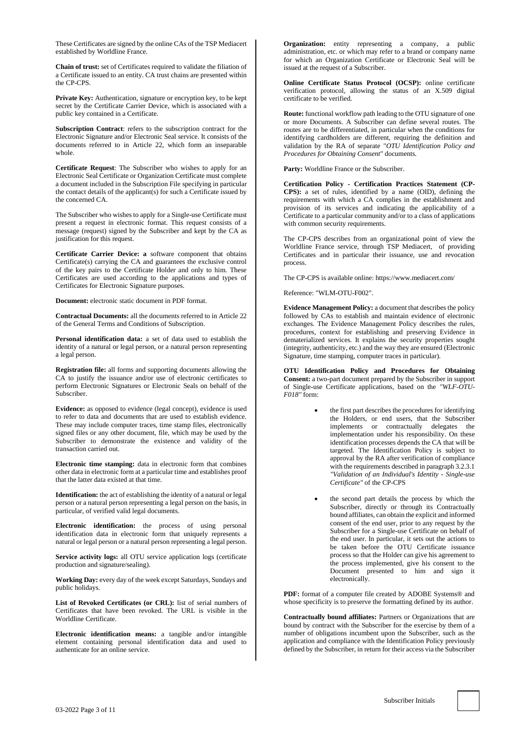These Certificates are signed by the online CAs of the TSP Mediacert established by Worldline France.

**Chain of trust:** set of Certificates required to validate the filiation of a Certificate issued to an entity. CA trust chains are presented within the CP-CPS.

**Private Key:** Authentication, signature or encryption key, to be kept secret by the Certificate Carrier Device, which is associated with a public key contained in a Certificate.

**Subscription Contract**: refers to the subscription contract for the Electronic Signature and/or Electronic Seal service. It consists of the documents referred to in Article [22,](#page-9-0) which form an inseparable whole.

**Certificate Request**: The Subscriber who wishes to apply for an Electronic Seal Certificate or Organization Certificate must complete a document included in the Subscription File specifying in particular the contact details of the applicant(s) for such a Certificate issued by the concerned CA.

The Subscriber who wishes to apply for a Single-use Certificate must present a request in electronic format. This request consists of a message (request) signed by the Subscriber and kept by the CA as justification for this request.

**Certificate Carrier Device: a** software component that obtains Certificate(s) carrying the CA and guarantees the exclusive control of the key pairs to the Certificate Holder and only to him. These Certificates are used according to the applications and types of Certificates for Electronic Signature purposes.

**Document:** electronic static document in PDF format.

**Contractual Documents:** all the documents referred to in Articl[e 22](#page-9-0) of the General Terms and Conditions of Subscription.

**Personal identification data:** a set of data used to establish the identity of a natural or legal person, or a natural person representing a legal person.

**Registration file:** all forms and supporting documents allowing the CA to justify the issuance and/or use of electronic certificates to perform Electronic Signatures or Electronic Seals on behalf of the Subscriber.

**Evidence:** as opposed to evidence (legal concept), evidence is used to refer to data and documents that are used to establish evidence. These may include computer traces, time stamp files, electronically signed files or any other document, file, which may be used by the Subscriber to demonstrate the existence and validity of the transaction carried out.

**Electronic time stamping:** data in electronic form that combines other data in electronic form at a particular time and establishes proof that the latter data existed at that time.

**Identification:** the act of establishing the identity of a natural or legal person or a natural person representing a legal person on the basis, in particular, of verified valid legal documents.

**Electronic identification:** the process of using personal identification data in electronic form that uniquely represents a natural or legal person or a natural person representing a legal person.

**Service activity logs:** all OTU service application logs (certificate production and signature/sealing).

**Working Day:** every day of the week except Saturdays, Sundays and public holidays.

**List of Revoked Certificates (or CRL):** list of serial numbers of Certificates that have been revoked. The URL is visible in the Worldline Certificate.

**Electronic identification means:** a tangible and/or intangible element containing personal identification data and used to authenticate for an online service.

**Organization:** entity representing a company, a public administration, etc. or which may refer to a brand or company name for which an Organization Certificate or Electronic Seal will be issued at the request of a Subscriber.

**Online Certificate Status Protocol (OCSP):** online certificate verification protocol, allowing the status of an X.509 digital certificate to be verified.

**Route:** functional workflow path leading to the OTU signature of one or more Documents. A Subscriber can define several routes. The routes are to be differentiated, in particular when the conditions for identifying cardholders are different, requiring the definition and validation by the RA of separate "*OTU Identification Policy and Procedures for Obtaining Consent*" documents.

**Party:** Worldline France or the Subscriber.

**Certification Policy - Certification Practices Statement (CP-CPS):** a set of rules, identified by a name (OID), defining the requirements with which a CA complies in the establishment and provision of its services and indicating the applicability of a Certificate to a particular community and/or to a class of applications with common security requirements.

The CP-CPS describes from an organizational point of view the Worldline France service, through TSP Mediacert, of providing Certificates and in particular their issuance, use and revocation process.

The CP-CPS is available online: http[s://www.mediacert.com/](https://www.mediacert.com/)

Reference: "WLM-OTU-F002".

**Evidence Management Policy:** a document that describes the policy followed by CAs to establish and maintain evidence of electronic exchanges. The Evidence Management Policy describes the rules, procedures, context for establishing and preserving Evidence in dematerialized services. It explains the security properties sought (integrity, authenticity, etc.) and the way they are ensured (Electronic Signature, time stamping, computer traces in particular).

**OTU Identification Policy and Procedures for Obtaining Consent:** a two-part document prepared by the Subscriber in support of Single-use Certificate applications, based on the *"WLF-OTU-F018"* form:

- the first part describes the procedures for identifying the Holders, or end users, that the Subscriber implements or contractually delegates the implementation under his responsibility. On these identification processes depends the CA that will be targeted. The Identification Policy is subject to approval by the RA after verification of compliance with the requirements described in paragraph 3.2.3.1 *"Validation of an Individual's Identity - Single-use Certificate"* of the CP-CPS
- the second part details the process by which the Subscriber, directly or through its Contractually bound affiliates, can obtain the explicit and informed consent of the end user, prior to any request by the Subscriber for a Single-use Certificate on behalf of the end user. In particular, it sets out the actions to be taken before the OTU Certificate issuance process so that the Holder can give his agreement to the process implemented, give his consent to the Document presented to him and sign it electronically.

**PDF:** format of a computer file created by ADOBE Systems<sup>®</sup> and whose specificity is to preserve the formatting defined by its author.

**Contractually bound affiliates:** Partners or Organizations that are bound by contract with the Subscriber for the exercise by them of a number of obligations incumbent upon the Subscriber, such as the application and compliance with the Identification Policy previously defined by the Subscriber, in return for their access via the Subscriber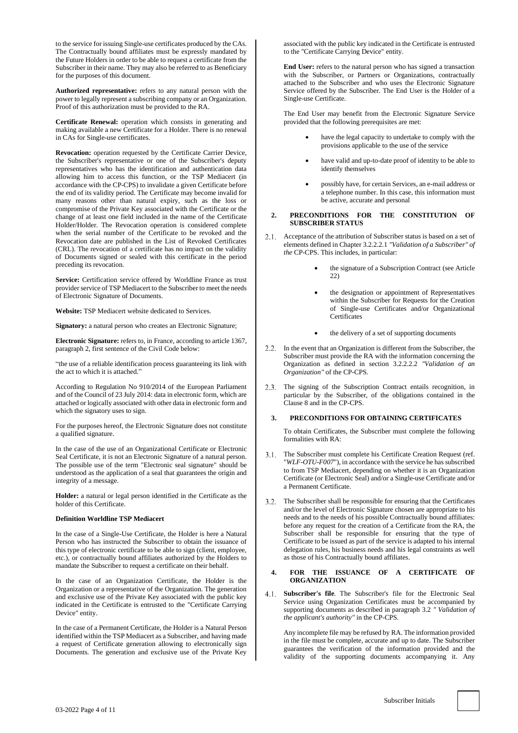to the service for issuing Single-use certificates produced by the CAs. The Contractually bound affiliates must be expressly mandated by the Future Holders in order to be able to request a certificate from the Subscriber in their name. They may also be referred to as Beneficiary for the purposes of this document.

**Authorized representative:** refers to any natural person with the power to legally represent a subscribing company or an Organization. Proof of this authorization must be provided to the RA.

**Certificate Renewal:** operation which consists in generating and making available a new Certificate for a Holder. There is no renewal in CAs for Single-use certificates.

**Revocation:** operation requested by the Certificate Carrier Device, the Subscriber's representative or one of the Subscriber's deputy representatives who has the identification and authentication data allowing him to access this function, or the TSP Mediacert (in accordance with the CP-CPS) to invalidate a given Certificate before the end of its validity period. The Certificate may become invalid for many reasons other than natural expiry, such as the loss or compromise of the Private Key associated with the Certificate or the change of at least one field included in the name of the Certificate Holder/Holder. The Revocation operation is considered complete when the serial number of the Certificate to be revoked and the Revocation date are published in the List of Revoked Certificates (CRL). The revocation of a certificate has no impact on the validity of Documents signed or sealed with this certificate in the period preceding its revocation.

**Service:** Certification service offered by Worldline France as trust provider service of TSP Mediacert to the Subscriber to meet the needs of Electronic Signature of Documents.

**Website:** TSP Mediacert website dedicated to Services.

**Signatory:** a natural person who creates an Electronic Signature;

**Electronic Signature:** refers to, in France, according to article 1367, paragraph 2, first sentence of the Civil Code below:

"the use of a reliable identification process guaranteeing its link with the act to which it is attached."

According to Regulation No 910/2014 of the European Parliament and of the Council of 23 July 2014: data in electronic form, which are attached or logically associated with other data in electronic form and which the signatory uses to sign.

For the purposes hereof, the Electronic Signature does not constitute a qualified signature.

In the case of the use of an Organizational Certificate or Electronic Seal Certificate, it is not an Electronic Signature of a natural person. The possible use of the term "Electronic seal signature" should be understood as the application of a seal that guarantees the origin and integrity of a message.

**Holder:** a natural or legal person identified in the Certificate as the holder of this Certificate.

#### **Definition Worldline TSP Mediacert**

In the case of a Single-Use Certificate, the Holder is here a Natural Person who has instructed the Subscriber to obtain the issuance of this type of electronic certificate to be able to sign (client, employee, etc.), or contractually bound affiliates authorized by the Holders to mandate the Subscriber to request a certificate on their behalf.

In the case of an Organization Certificate, the Holder is the Organization or a representative of the Organization. The generation and exclusive use of the Private Key associated with the public key indicated in the Certificate is entrusted to the "Certificate Carrying Device" entity.

In the case of a Permanent Certificate, the Holder is a Natural Person identified within the TSP Mediacert as a Subscriber, and having made a request of Certificate generation allowing to electronically sign Documents. The generation and exclusive use of the Private Key associated with the public key indicated in the Certificate is entrusted to the "Certificate Carrying Device" entity.

**End User:** refers to the natural person who has signed a transaction with the Subscriber, or Partners or Organizations, contractually attached to the Subscriber and who uses the Electronic Signature Service offered by the Subscriber. The End User is the Holder of a Single-use Certificate.

The End User may benefit from the Electronic Signature Service provided that the following prerequisites are met:

- have the legal capacity to undertake to comply with the provisions applicable to the use of the service
- have valid and up-to-date proof of identity to be able to identify themselves
- possibly have, for certain Services, an e-mail address or a telephone number. In this case, this information must be active, accurate and personal
- **2. PRECONDITIONS FOR THE CONSTITUTION OF SUBSCRIBER STATUS**
- <span id="page-3-1"></span>2.1. Acceptance of the attribution of Subscriber status is based on a set of elements defined in Chapter 3.2.2.2.1 *"Validation of a Subscriber" of the* CP-CPS. This includes, in particular:
	- the signature of a Subscription Contract (see Article [22\)](#page-9-0)
	- the designation or appointment of Representatives within the Subscriber for Requests for the Creation of Single-use Certificates and/or Organizational **Certificates**
	- the delivery of a set of supporting documents
- 2.2. In the event that an Organization is different from the Subscriber, the Subscriber must provide the RA with the information concerning the Organization as defined in section 3.2.2.2.2 *"Validation of an Organization"* of the CP-CPS.
- 2.3. The signing of the Subscription Contract entails recognition, in particular by the Subscriber, of the obligations contained in the Clause 8 and in the CP-CPS.

## **3. PRECONDITIONS FOR OBTAINING CERTIFICATES**

To obtain Certificates, the Subscriber must complete the following formalities with RA:

- 3.1. The Subscriber must complete his Certificate Creation Request (ref. "*WLF-OTU-F007*"), in accordance with the service he has subscribed to from TSP Mediacert, depending on whether it is an Organization Certificate (or Electronic Seal) and/or a Single-use Certificate and/or a Permanent Certificate.
- <span id="page-3-0"></span>The Subscriber shall be responsible for ensuring that the Certificates and/or the level of Electronic Signature chosen are appropriate to his needs and to the needs of his possible Contractually bound affiliates: before any request for the creation of a Certificate from the RA, the Subscriber shall be responsible for ensuring that the type of Certificate to be issued as part of the service is adapted to his internal delegation rules, his business needs and his legal constraints as well as those of his Contractually bound affiliates.

## **4. FOR THE ISSUANCE OF A CERTIFICATE OF ORGANIZATION**

**Subscriber's file**. The Subscriber's file for the Electronic Seal Service using Organization Certificates must be accompanied by supporting documents as described in paragraph [3.2](#page-3-0) *" Validation of the applicant's authority"* in the CP-CPS.

Any incomplete file may be refused by RA. The information provided in the file must be complete, accurate and up to date. The Subscriber guarantees the verification of the information provided and the validity of the supporting documents accompanying it. Any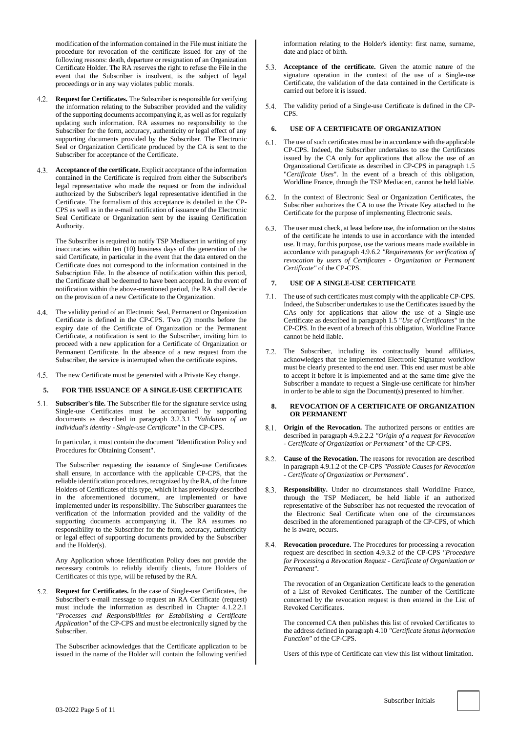modification of the information contained in the File must initiate the procedure for revocation of the certificate issued for any of the following reasons: death, departure or resignation of an Organization Certificate Holder. The RA reserves the right to refuse the File in the event that the Subscriber is insolvent, is the subject of legal proceedings or in any way violates public morals.

- **Request for Certificates.** The Subscriber is responsible for verifying the information relating to the Subscriber provided and the validity of the supporting documents accompanying it, as well as for regularly updating such information. RA assumes no responsibility to the Subscriber for the form, accuracy, authenticity or legal effect of any supporting documents provided by the Subscriber. The Electronic Seal or Organization Certificate produced by the CA is sent to the Subscriber for acceptance of the Certificate.
- **Acceptance of the certificate.** Explicit acceptance of the information contained in the Certificate is required from either the Subscriber's legal representative who made the request or from the individual authorized by the Subscriber's legal representative identified in the Certificate. The formalism of this acceptance is detailed in the CP-CPS as well as in the e-mail notification of issuance of the Electronic Seal Certificate or Organization sent by the issuing Certification Authority.

The Subscriber is required to notify TSP Mediacert in writing of any inaccuracies within ten (10) business days of the generation of the said Certificate, in particular in the event that the data entered on the Certificate does not correspond to the information contained in the Subscription File. In the absence of notification within this period, the Certificate shall be deemed to have been accepted. In the event of notification within the above-mentioned period, the RA shall decide on the provision of a new Certificate to the Organization.

- The validity period of an Electronic Seal, Permanent or Organization Certificate is defined in the CP-CPS. Two (2) months before the expiry date of the Certificate of Organization or the Permanent Certificate, a notification is sent to the Subscriber, inviting him to proceed with a new application for a Certificate of Organization or Permanent Certificate. In the absence of a new request from the Subscriber, the service is interrupted when the certificate expires.
- 4.5. The new Certificate must be generated with a Private Key change.

#### **5. FOR THE ISSUANCE OF A SINGLE-USE CERTIFICATE**

**Subscriber's file.** The Subscriber file for the signature service using Single-use Certificates must be accompanied by supporting documents as described in paragraph 3.2.3.1 *"Validation of an individual's identity - Single-use Certificate"* in the CP-CPS.

In particular, it must contain the document "Identification Policy and Procedures for Obtaining Consent".

The Subscriber requesting the issuance of Single-use Certificates shall ensure, in accordance with the applicable CP-CPS, that the reliable identification procedures, recognized by the RA, of the future Holders of Certificates of this type, which it has previously described in the aforementioned document, are implemented or have implemented under its responsibility. The Subscriber guarantees the verification of the information provided and the validity of the supporting documents accompanying it. The RA assumes no responsibility to the Subscriber for the form, accuracy, authenticity or legal effect of supporting documents provided by the Subscriber and the Holder(s).

Any Application whose Identification Policy does not provide the necessary controls to reliably identify clients, future Holders of Certificates of this type, will be refused by the RA.

**Request for Certificates.** In the case of Single-use Certificates, the Subscriber's e-mail message to request an RA Certificate (request) must include the information as described in Chapter 4.1.2.2.1 *"Processes and Responsibilities for Establishing a Certificate Application"* of the CP-CPS and must be electronically signed by the Subscriber.

The Subscriber acknowledges that the Certificate application to be issued in the name of the Holder will contain the following verified

information relating to the Holder's identity: first name, surname, date and place of birth.

- **Acceptance of the certificate.** Given the atomic nature of the signature operation in the context of the use of a Single-use Certificate, the validation of the data contained in the Certificate is carried out before it is issued.
- The validity period of a Single-use Certificate is defined in the CP-CPS.

#### **6. USE OF A CERTIFICATE OF ORGANIZATION**

- $6.1$ . The use of such certificates must be in accordance with the applicable CP-CPS. Indeed, the Subscriber undertakes to use the Certificates issued by the CA only for applications that allow the use of an Organizational Certificate as described in CP-CPS in paragraph 1.5 "*Certificate Uses*". In the event of a breach of this obligation, Worldline France, through the TSP Mediacert, cannot be held liable.
- In the context of Electronic Seal or Organization Certificates, the Subscriber authorizes the CA to use the Private Key attached to the Certificate for the purpose of implementing Electronic seals.
- The user must check, at least before use, the information on the status of the certificate he intends to use in accordance with the intended use. It may, for this purpose, use the various means made available in accordance with paragraph 4.9.6.2 *"Requirements for verification of revocation by users of Certificates - Organization or Permanent Certificate"* of the CP-CPS.

#### **7. USE OF A SINGLE-USE CERTIFICATE**

- 7.1. The use of such certificates must comply with the applicable CP-CPS. Indeed, the Subscriber undertakes to use the Certificates issued by the CAs only for applications that allow the use of a Single-use Certificate as described in paragraph 1.5 "*Use of Certificates*" in the CP-CPS. In the event of a breach of this obligation, Worldline France cannot be held liable.
- 7.2. The Subscriber, including its contractually bound affiliates, acknowledges that the implemented Electronic Signature workflow must be clearly presented to the end user. This end user must be able to accept it before it is implemented and at the same time give the Subscriber a mandate to request a Single-use certificate for him/her in order to be able to sign the Document(s) presented to him/her.

#### **8. REVOCATION OF A CERTIFICATE OF ORGANIZATION OR PERMANENT**

- **Origin of the Revocation.** The authorized persons or entities are described in paragraph 4.9.2.2.2 *"Origin of a request for Revocation* - *Certificate of Organization or Permanent"* of the CP-CPS.
- **Cause of the Revocation.** The reasons for revocation are described in paragraph 4.9.1.2 of the CP-CPS *"Possible Causes for Revocation - Certificate of Organization or Permanent*".
- **Responsibility.** Under no circumstances shall Worldline France, through the TSP Mediacert, be held liable if an authorized representative of the Subscriber has not requested the revocation of the Electronic Seal Certificate when one of the circumstances described in the aforementioned paragraph of the CP-CPS, of which he is aware, occurs.
- **Revocation procedure.** The Procedures for processing a revocation request are described in section 4.9.3.2 of the CP-CPS *"Procedure for Processing a Revocation Request - Certificate of Organization or Permanent*".

The revocation of an Organization Certificate leads to the generation of a List of Revoked Certificates. The number of the Certificate concerned by the revocation request is then entered in the List of Revoked Certificates.

The concerned CA then publishes this list of revoked Certificates to the address defined in paragraph 4.10 *"Certificate Status Information Function"* of the CP-CPS.

Users of this type of Certificate can view this list without limitation.

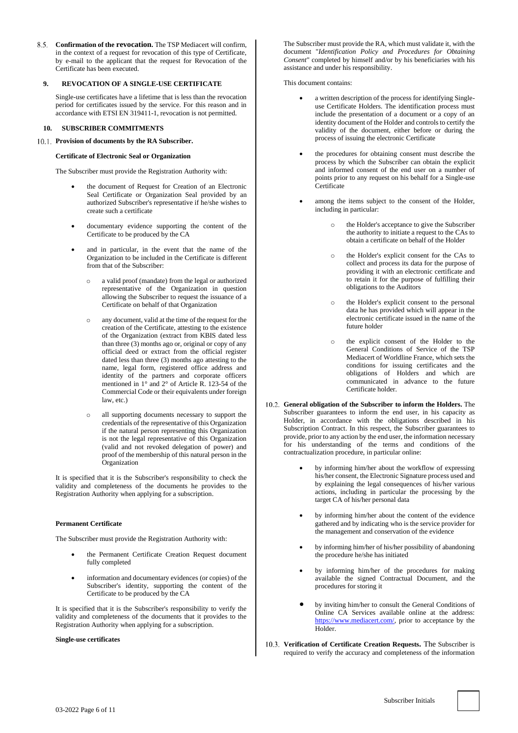**Confirmation of the revocation.** The TSP Mediacert will confirm, in the context of a request for revocation of this type of Certificate, by e-mail to the applicant that the request for Revocation of the Certificate has been executed.

## **9. REVOCATION OF A SINGLE-USE CERTIFICATE**

Single-use certificates have a lifetime that is less than the revocation period for certificates issued by the service. For this reason and in accordance with ETSI EN 319411-1, revocation is not permitted.

## **10. SUBSCRIBER COMMITMENTS**

#### **Provision of documents by the RA Subscriber.**

#### **Certificate of Electronic Seal or Organization**

The Subscriber must provide the Registration Authority with:

- the document of Request for Creation of an Electronic Seal Certificate or Organization Seal provided by an authorized Subscriber's representative if he/she wishes to create such a certificate
- documentary evidence supporting the content of the Certificate to be produced by the CA
- and in particular, in the event that the name of the Organization to be included in the Certificate is different from that of the Subscriber:
	- o a valid proof (mandate) from the legal or authorized representative of the Organization in question allowing the Subscriber to request the issuance of a Certificate on behalf of that Organization
	- o any document, valid at the time of the request for the creation of the Certificate, attesting to the existence of the Organization (extract from KBIS dated less than three (3) months ago or, original or copy of any official deed or extract from the official register dated less than three (3) months ago attesting to the name, legal form, registered office address and identity of the partners and corporate officers mentioned in 1° and 2° of Article R. 123-54 of the Commercial Code or their equivalents under foreign law, etc.)
	- all supporting documents necessary to support the credentials of the representative of this Organization if the natural person representing this Organization is not the legal representative of this Organization (valid and not revoked delegation of power) and proof of the membership of this natural person in the Organization

It is specified that it is the Subscriber's responsibility to check the validity and completeness of the documents he provides to the Registration Authority when applying for a subscription.

## **Permanent Certificate**

The Subscriber must provide the Registration Authority with:

- the Permanent Certificate Creation Request document fully completed
- information and documentary evidences (or copies) of the Subscriber's identity, supporting the content of the Certificate to be produced by the CA

It is specified that it is the Subscriber's responsibility to verify the validity and completeness of the documents that it provides to the Registration Authority when applying for a subscription.

#### **Single-use certificates**

The Subscriber must provide the RA, which must validate it, with the document "*Identification Policy and Procedures for Obtaining Consent*" completed by himself and/or by his beneficiaries with his assistance and under his responsibility.

This document contains:

- a written description of the process for identifying Singleuse Certificate Holders. The identification process must include the presentation of a document or a copy of an identity document of the Holder and controls to certify the validity of the document, either before or during the process of issuing the electronic Certificate
- the procedures for obtaining consent must describe the process by which the Subscriber can obtain the explicit and informed consent of the end user on a number of points prior to any request on his behalf for a Single-use **Certificate**
- among the items subject to the consent of the Holder, including in particular:
	- the Holder's acceptance to give the Subscriber the authority to initiate a request to the CAs to obtain a certificate on behalf of the Holder
	- o the Holder's explicit consent for the CAs to collect and process its data for the purpose of providing it with an electronic certificate and to retain it for the purpose of fulfilling their obligations to the Auditors
	- the Holder's explicit consent to the personal data he has provided which will appear in the electronic certificate issued in the name of the future holder
	- o the explicit consent of the Holder to the General Conditions of Service of the TSP Mediacert of Worldline France, which sets the conditions for issuing certificates and the obligations of Holders and which are communicated in advance to the future Certificate holder.
- **General obligation of the Subscriber to inform the Holders.** The Subscriber guarantees to inform the end user, in his capacity as Holder, in accordance with the obligations described in his Subscription Contract. In this respect, the Subscriber guarantees to provide, prior to any action by the end user, the information necessary for his understanding of the terms and conditions of the contractualization procedure, in particular online:
	- by informing him/her about the workflow of expressing his/her consent, the Electronic Signature process used and by explaining the legal consequences of his/her various actions, including in particular the processing by the target CA of his/her personal data
	- by informing him/her about the content of the evidence gathered and by indicating who is the service provider for the management and conservation of the evidence
	- by informing him/her of his/her possibility of abandoning the procedure he/she has initiated
	- by informing him/her of the procedures for making available the signed Contractual Document, and the procedures for storing it
	- by inviting him/her to consult the General Conditions of Online CA Services available online at the address: [https://www.mediacert.com/,](https://www.mediacert.com/) prior to acceptance by the Holder.
- **Verification of Certificate Creation Requests.** The Subscriber is required to verify the accuracy and completeness of the information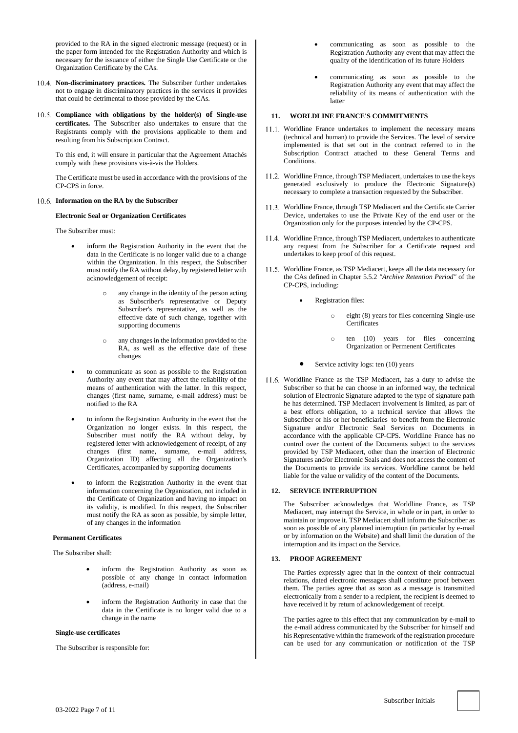provided to the RA in the signed electronic message (request) or in the paper form intended for the Registration Authority and which is necessary for the issuance of either the Single Use Certificate or the Organization Certificate by the CAs.

- **Non-discriminatory practices.** The Subscriber further undertakes not to engage in discriminatory practices in the services it provides that could be detrimental to those provided by the CAs.
- **Compliance with obligations by the holder(s) of Single-use certificates.** The Subscriber also undertakes to ensure that the Registrants comply with the provisions applicable to them and resulting from his Subscription Contract.

To this end, it will ensure in particular that the Agreement Attachés comply with these provisions vis-à-vis the Holders.

The Certificate must be used in accordance with the provisions of the CP-CPS in force.

#### **Information on the RA by the Subscriber**

## **Electronic Seal or Organization Certificates**

The Subscriber must:

- inform the Registration Authority in the event that the data in the Certificate is no longer valid due to a change within the Organization. In this respect, the Subscriber must notify the RA without delay, by registered letter with acknowledgement of receipt:
	- o any change in the identity of the person acting as Subscriber's representative or Deputy Subscriber's representative, as well as the effective date of such change, together with supporting documents
	- o any changes in the information provided to the RA, as well as the effective date of these changes
- to communicate as soon as possible to the Registration Authority any event that may affect the reliability of the means of authentication with the latter. In this respect, changes (first name, surname, e-mail address) must be notified to the RA
- to inform the Registration Authority in the event that the Organization no longer exists. In this respect, the Subscriber must notify the RA without delay, by registered letter with acknowledgement of receipt, of any changes (first name, surname, e-mail address, Organization ID) affecting all the Organization's Certificates, accompanied by supporting documents
- to inform the Registration Authority in the event that information concerning the Organization, not included in the Certificate of Organization and having no impact on its validity, is modified. In this respect, the Subscriber must notify the RA as soon as possible, by simple letter, of any changes in the information

## **Permanent Certificates**

The Subscriber shall:

- inform the Registration Authority as soon as possible of any change in contact information (address, e-mail)
- inform the Registration Authority in case that the data in the Certificate is no longer valid due to a change in the name

## **Single-use certificates**

The Subscriber is responsible for:

- communicating as soon as possible to the Registration Authority any event that may affect the quality of the identification of its future Holders
- communicating as soon as possible to the Registration Authority any event that may affect the reliability of its means of authentication with the latter

## **11. WORLDLINE FRANCE'S COMMITMENTS**

- 11.1. Worldline France undertakes to implement the necessary means (technical and human) to provide the Services. The level of service implemented is that set out in the contract referred to in the Subscription Contract attached to these General Terms and Conditions.
- Worldline France, through TSP Mediacert, undertakes to use the keys generated exclusively to produce the Electronic Signature(s) necessary to complete a transaction requested by the Subscriber.
- 11.3. Worldline France, through TSP Mediacert and the Certificate Carrier Device, undertakes to use the Private Key of the end user or the Organization only for the purposes intended by the CP-CPS.
- Worldline France, through TSP Mediacert, undertakes to authenticate any request from the Subscriber for a Certificate request and undertakes to keep proof of this request.
- 11.5. Worldline France, as TSP Mediacert, keeps all the data necessary for the CAs defined in Chapter 5.5.2 *"Archive Retention Period"* of the CP-CPS, including:
	- Registration files:
		- o eight (8) years for files concerning Single-use Certificates
		- o ten (10) years for files concerning Organization or Permenent Certificates
	- Service activity logs: ten (10) years
- 11.6. Worldline France as the TSP Mediacert, has a duty to advise the Subscriber so that he can choose in an informed way, the technical solution of Electronic Signature adapted to the type of signature path he has determined. TSP Mediacert involvement is limited, as part of a best efforts obligation, to a technical service that allows the Subscriber or his or her beneficiaries to benefit from the Electronic Signature and/or Electronic Seal Services on Documents in accordance with the applicable CP-CPS. Worldline France has no control over the content of the Documents subject to the services provided by TSP Mediacert, other than the insertion of Electronic Signatures and/or Electronic Seals and does not access the content of the Documents to provide its services. Worldline cannot be held liable for the value or validity of the content of the Documents.

## <span id="page-6-0"></span>**12. SERVICE INTERRUPTION**

The Subscriber acknowledges that Worldline France, as TSP Mediacert, may interrupt the Service, in whole or in part, in order to maintain or improve it. TSP Mediacert shall inform the Subscriber as soon as possible of any planned interruption (in particular by e-mail or by information on the Website) and shall limit the duration of the interruption and its impact on the Service.

#### **13. PROOF AGREEMENT**

The Parties expressly agree that in the context of their contractual relations, dated electronic messages shall constitute proof between them. The parties agree that as soon as a message is transmitted electronically from a sender to a recipient, the recipient is deemed to have received it by return of acknowledgement of receipt.

The parties agree to this effect that any communication by e-mail to the e-mail address communicated by the Subscriber for himself and his Representative within the framework of the registration procedure can be used for any communication or notification of the TSP

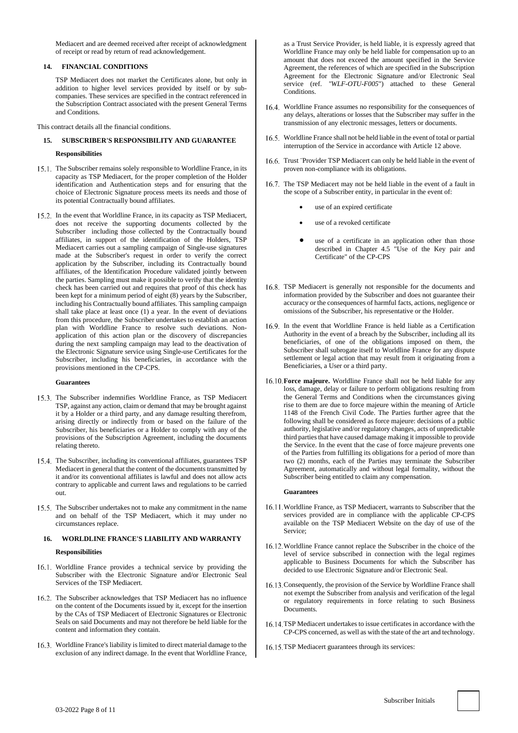Mediacert and are deemed received after receipt of acknowledgment of receipt or read by return of read acknowledgement.

## **14. FINANCIAL CONDITIONS**

<span id="page-7-0"></span>TSP Mediacert does not market the Certificates alone, but only in addition to higher level services provided by itself or by subcompanies. These services are specified in the contract referenced in the Subscription Contract associated with the present General Terms and Conditions.

This contract details all the financial conditions.

# **15. SUBSCRIBER'S RESPONSIBILITY AND GUARANTEE**

#### **Responsibilities**

- 15.1. The Subscriber remains solely responsible to Worldline France, in its capacity as TSP Mediacert, for the proper completion of the Holder identification and Authentication steps and for ensuring that the choice of Electronic Signature process meets its needs and those of its potential Contractually bound affiliates.
- 15.2. In the event that Worldline France, in its capacity as TSP Mediacert, does not receive the supporting documents collected by the Subscriber including those collected by the Contractually bound affiliates, in support of the identification of the Holders, TSP Mediacert carries out a sampling campaign of Single-use signatures made at the Subscriber's request in order to verify the correct application by the Subscriber, including its Contractually bound affiliates, of the Identification Procedure validated jointly between the parties. Sampling must make it possible to verify that the identity check has been carried out and requires that proof of this check has been kept for a minimum period of eight (8) years by the Subscriber, including his Contractually bound affiliates. This sampling campaign shall take place at least once (1) a year. In the event of deviations from this procedure, the Subscriber undertakes to establish an action plan with Worldline France to resolve such deviations. Nonapplication of this action plan or the discovery of discrepancies during the next sampling campaign may lead to the deactivation of the Electronic Signature service using Single-use Certificates for the Subscriber, including his beneficiaries, in accordance with the provisions mentioned in the CP-CPS.

#### **Guarantees**

- 15.3. The Subscriber indemnifies Worldline France, as TSP Mediacert TSP, against any action, claim or demand that may be brought against it by a Holder or a third party, and any damage resulting therefrom, arising directly or indirectly from or based on the failure of the Subscriber, his beneficiaries or a Holder to comply with any of the provisions of the Subscription Agreement, including the documents relating thereto.
- 15.4. The Subscriber, including its conventional affiliates, guarantees TSP Mediacert in general that the content of the documents transmitted by it and/or its conventional affiliates is lawful and does not allow acts contrary to applicable and current laws and regulations to be carried out.
- 15.5. The Subscriber undertakes not to make any commitment in the name and on behalf of the TSP Mediacert, which it may under no circumstances replace.

# <span id="page-7-1"></span>**16. WORLDLINE FRANCE'S LIABILITY AND WARRANTY**

## **Responsibilities**

- 16.1. Worldline France provides a technical service by providing the Subscriber with the Electronic Signature and/or Electronic Seal Services of the TSP Mediacert.
- 16.2. The Subscriber acknowledges that TSP Mediacert has no influence on the content of the Documents issued by it, except for the insertion by the CAs of TSP Mediacert of Electronic Signatures or Electronic Seals on said Documents and may not therefore be held liable for the content and information they contain.
- Worldline France's liability is limited to direct material damage to the exclusion of any indirect damage. In the event that Worldline France,

as a Trust Service Provider, is held liable, it is expressly agreed that Worldline France may only be held liable for compensation up to an amount that does not exceed the amount specified in the Service Agreement, the references of which are specified in the Subscription Agreement for the Electronic Signature and/or Electronic Seal service (ref. *"WLF-OTU-F005*") attached to these General Conditions.

- 16.4. Worldline France assumes no responsibility for the consequences of any delays, alterations or losses that the Subscriber may suffer in the transmission of any electronic messages, letters or documents.
- 16.5. Worldline France shall not be held liable in the event of total or partial interruption of the Service in accordance with Article [12](#page-6-0) above.
- 16.6. Trust "Provider TSP Mediacert can only be held liable in the event of proven non-compliance with its obligations.
- 16.7. The TSP Mediacert may not be held liable in the event of a fault in the scope of a Subscriber entity, in particular in the event of:
	- use of an expired certificate
	- use of a revoked certificate
	- use of a certificate in an application other than those described in Chapter 4.5 "Use of the Key pair and Certificate" of the CP-CPS
- 16.8. TSP Mediacert is generally not responsible for the documents and information provided by the Subscriber and does not guarantee their accuracy or the consequences of harmful facts, actions, negligence or omissions of the Subscriber, his representative or the Holder.
- 16.9. In the event that Worldline France is held liable as a Certification Authority in the event of a breach by the Subscriber, including all its beneficiaries, of one of the obligations imposed on them, the Subscriber shall subrogate itself to Worldline France for any dispute settlement or legal action that may result from it originating from a Beneficiaries, a User or a third party.
- **Force majeure.** Worldline France shall not be held liable for any loss, damage, delay or failure to perform obligations resulting from the General Terms and Conditions when the circumstances giving rise to them are due to force majeure within the meaning of Article 1148 of the French Civil Code. The Parties further agree that the following shall be considered as force majeure: decisions of a public authority, legislative and/or regulatory changes, acts of unpredictable third parties that have caused damage making it impossible to provide the Service. In the event that the case of force majeure prevents one of the Parties from fulfilling its obligations for a period of more than two (2) months, each of the Parties may terminate the Subscriber Agreement, automatically and without legal formality, without the Subscriber being entitled to claim any compensation.

#### **Guarantees**

- 16.11. Worldline France, as TSP Mediacert, warrants to Subscriber that the services provided are in compliance with the applicable CP-CPS available on the TSP Mediacert Website on the day of use of the Service;
- 16.12. Worldline France cannot replace the Subscriber in the choice of the level of service subscribed in connection with the legal regimes applicable to Business Documents for which the Subscriber has decided to use Electronic Signature and/or Electronic Seal.
- 16.13. Consequently, the provision of the Service by Worldline France shall not exempt the Subscriber from analysis and verification of the legal or regulatory requirements in force relating to such Business Documents.
- 16.14. TSP Mediacert undertakes to issue certificates in accordance with the CP-CPS concerned, as well as with the state of the art and technology.
- 16.15. TSP Mediacert guarantees through its services:

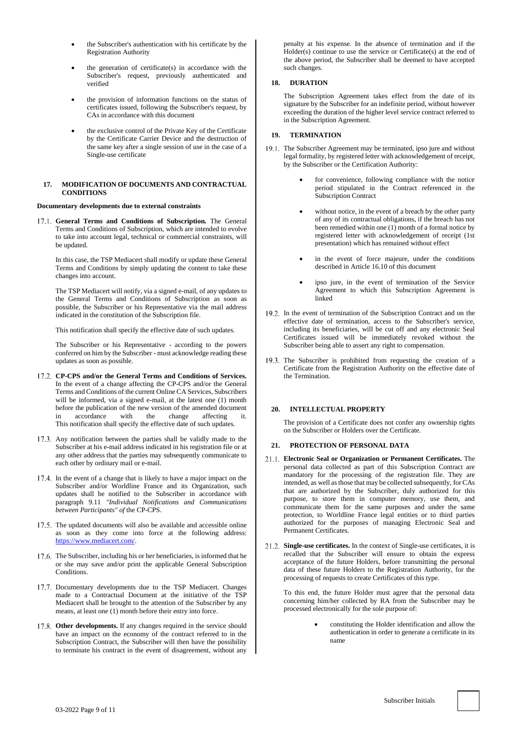- the Subscriber's authentication with his certificate by the Registration Authority
- the generation of certificate $(s)$  in accordance with the Subscriber's request, previously authenticated and verified
- the provision of information functions on the status of certificates issued, following the Subscriber's request, by CAs in accordance with this document
- the exclusive control of the Private Key of the Certificate by the Certificate Carrier Device and the destruction of the same key after a single session of use in the case of a Single-use certificate

#### **17. MODIFICATION OF DOCUMENTS AND CONTRACTUAL CONDITIONS**

#### **Documentary developments due to external constraints**

17.1. General Terms and Conditions of Subscription. The General Terms and Conditions of Subscription, which are intended to evolve to take into account legal, technical or commercial constraints, will be updated.

In this case, the TSP Mediacert shall modify or update these General Terms and Conditions by simply updating the content to take these changes into account.

The TSP Mediacert will notify, via a signed e-mail, of any updates to the General Terms and Conditions of Subscription as soon as possible, the Subscriber or his Representative via the mail address indicated in the constitution of the Subscription file.

This notification shall specify the effective date of such updates.

The Subscriber or his Representative - according to the powers conferred on him by the Subscriber - must acknowledge reading these updates as soon as possible.

- **CP-CPS and/or the General Terms and Conditions of Services.**  In the event of a change affecting the CP-CPS and/or the General Terms and Conditions of the current Online CA Services, Subscribers will be informed, via a signed e-mail, at the latest one (1) month before the publication of the new version of the amended document<br>in accordance with the change affecting it. in accordance with the change affecting it. This notification shall specify the effective date of such updates.
- 17.3. Any notification between the parties shall be validly made to the Subscriber at his e-mail address indicated in his registration file or at any other address that the parties may subsequently communicate to each other by ordinary mail or e-mail.
- 17.4. In the event of a change that is likely to have a major impact on the Subscriber and/or Worldline France and its Organization, such updates shall be notified to the Subscriber in accordance with paragraph 9.11 *"Individual Notifications and Communications between Participants" of* the CP-CPS.
- 17.5. The updated documents will also be available and accessible online as soon as they come into force at the following address: https://www.mediacert.com/
- 17.6. The Subscriber, including his or her beneficiaries, is informed that he or she may save and/or print the applicable General Subscription Conditions.
- 17.7. Documentary developments due to the TSP Mediacert. Changes made to a Contractual Document at the initiative of the TSP Mediacert shall be brought to the attention of the Subscriber by any means, at least one (1) month before their entry into force.
- **Other developments.** If any changes required in the service should have an impact on the economy of the contract referred to in the Subscription Contract, the Subscriber will then have the possibility to terminate his contract in the event of disagreement, without any

penalty at his expense. In the absence of termination and if the Holder(s) continue to use the service or Certificate(s) at the end of the above period, the Subscriber shall be deemed to have accepted such changes.

# <span id="page-8-0"></span>**18. DURATION**

The Subscription Agreement takes effect from the date of its signature by the Subscriber for an indefinite period, without however exceeding the duration of the higher level service contract referred to in the Subscription Agreement.

## **19. TERMINATION**

- 19.1. The Subscriber Agreement may be terminated, ipso jure and without legal formality, by registered letter with acknowledgement of receipt, by the Subscriber or the Certification Authority:
	- for convenience, following compliance with the notice period stipulated in the Contract referenced in the Subscription Contract
	- without notice, in the event of a breach by the other party of any of its contractual obligations, if the breach has not been remedied within one (1) month of a formal notice by registered letter with acknowledgement of receipt (1st presentation) which has remained without effect
	- in the event of force majeure, under the conditions described in Article 16.10 of this document
	- ipso jure, in the event of termination of the Service Agreement to which this Subscription Agreement is linked
- 19.2. In the event of termination of the Subscription Contract and on the effective date of termination, access to the Subscriber's service, including its beneficiaries, will be cut off and any electronic Seal Certificates issued will be immediately revoked without the Subscriber being able to assert any right to compensation.
- 19.3. The Subscriber is prohibited from requesting the creation of a Certificate from the Registration Authority on the effective date of the Termination.

# **20. INTELLECTUAL PROPERTY**

The provision of a Certificate does not confer any ownership rights on the Subscriber or Holders over the Certificate.

## **21. PROTECTION OF PERSONAL DATA**

- **Electronic Seal or Organization or Permanent Certificates.** The personal data collected as part of this Subscription Contract are mandatory for the processing of the registration file. They are intended, as well as those that may be collected subsequently, for CAs that are authorized by the Subscriber, duly authorized for this purpose, to store them in computer memory, use them, and communicate them for the same purposes and under the same protection, to Worldline France legal entities or to third parties authorized for the purposes of managing Electronic Seal and Permanent Certificates.
- **Single-use certificates.** In the context of Single-use certificates, it is recalled that the Subscriber will ensure to obtain the express acceptance of the future Holders, before transmitting the personal data of these future Holders to the Registration Authority, for the processing of requests to create Certificates of this type.

To this end, the future Holder must agree that the personal data concerning him/her collected by RA from the Subscriber may be processed electronically for the sole purpose of:

> • constituting the Holder identification and allow the authentication in order to generate a certificate in its name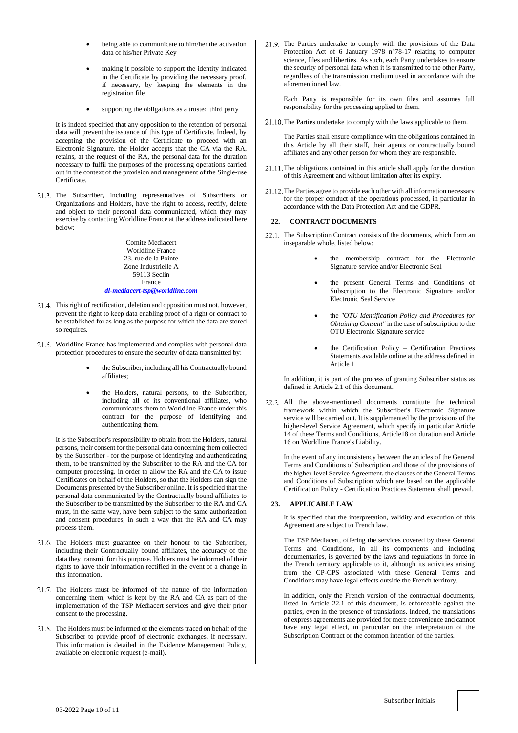- being able to communicate to him/her the activation data of his/her Private Key
- making it possible to support the identity indicated in the Certificate by providing the necessary proof, if necessary, by keeping the elements in the registration file
- supporting the obligations as a trusted third party

It is indeed specified that any opposition to the retention of personal data will prevent the issuance of this type of Certificate. Indeed, by accepting the provision of the Certificate to proceed with an Electronic Signature, the Holder accepts that the CA via the RA, retains, at the request of the RA, the personal data for the duration necessary to fulfil the purposes of the processing operations carried out in the context of the provision and management of the Single-use Certificate.

21.3. The Subscriber, including representatives of Subscribers or Organizations and Holders, have the right to access, rectify, delete and object to their personal data communicated, which they may exercise by contacting Worldline France at the address indicated here below:

> Comité Mediacert Worldline France 23, rue de la Pointe Zone Industrielle A 59113 Seclin France *[dl-mediacert-tsp@worldline.com](mailto:dl-mediacert-tsp@worldline.com)*

- 21.4. This right of rectification, deletion and opposition must not, however, prevent the right to keep data enabling proof of a right or contract to be established for as long as the purpose for which the data are stored so requires.
- 21.5. Worldline France has implemented and complies with personal data protection procedures to ensure the security of data transmitted by:
	- the Subscriber, including all his Contractually bound affiliates;
	- the Holders, natural persons, to the Subscriber, including all of its conventional affiliates, who communicates them to Worldline France under this contract for the purpose of identifying and authenticating them.

It is the Subscriber's responsibility to obtain from the Holders, natural persons, their consent for the personal data concerning them collected by the Subscriber - for the purpose of identifying and authenticating them, to be transmitted by the Subscriber to the RA and the CA for computer processing, in order to allow the RA and the CA to issue Certificates on behalf of the Holders, so that the Holders can sign the Documents presented by the Subscriber online. It is specified that the personal data communicated by the Contractually bound affiliates to the Subscriber to be transmitted by the Subscriber to the RA and CA must, in the same way, have been subject to the same authorization and consent procedures, in such a way that the RA and CA may process them.

- 21.6. The Holders must guarantee on their honour to the Subscriber, including their Contractually bound affiliates, the accuracy of the data they transmit for this purpose. Holders must be informed of their rights to have their information rectified in the event of a change in this information.
- 21.7. The Holders must be informed of the nature of the information concerning them, which is kept by the RA and CA as part of the implementation of the TSP Mediacert services and give their prior consent to the processing.
- 21.8. The Holders must be informed of the elements traced on behalf of the Subscriber to provide proof of electronic exchanges, if necessary. This information is detailed in the Evidence Management Policy, available on electronic request (e-mail).

21.9. The Parties undertake to comply with the provisions of the Data Protection Act of 6 January 1978 n°78-17 relating to computer science, files and liberties. As such, each Party undertakes to ensure the security of personal data when it is transmitted to the other Party, regardless of the transmission medium used in accordance with the aforementioned law.

Each Party is responsible for its own files and assumes full responsibility for the processing applied to them.

21.10. The Parties undertake to comply with the laws applicable to them.

The Parties shall ensure compliance with the obligations contained in this Article by all their staff, their agents or contractually bound affiliates and any other person for whom they are responsible.

- $21.11$ . The obligations contained in this article shall apply for the duration of this Agreement and without limitation after its expiry.
- 21.12. The Parties agree to provide each other with all information necessary for the proper conduct of the operations processed, in particular in accordance with the Data Protection Act and the GDPR.

## <span id="page-9-0"></span>**22. CONTRACT DOCUMENTS**

- <span id="page-9-1"></span>22.1. The Subscription Contract consists of the documents, which form an inseparable whole, listed below:
	- the membership contract for the Electronic Signature service and/or Electronic Seal
	- the present General Terms and Conditions of Subscription to the Electronic Signature and/or Electronic Seal Service
	- the *"OTU Identification Policy and Procedures for Obtaining Consent"* in the case of subscription to the OTU Electronic Signature service
	- the Certification Policy Certification Practices Statements available online at the address defined in Article [1](#page-0-0)

In addition, it is part of the process of granting Subscriber status as defined in Articl[e 2.1](#page-3-1) of this document.

All the above-mentioned documents constitute the technical framework within which the Subscriber's Electronic Signature service will be carried out. It is supplemented by the provisions of the higher-level Service Agreement, which specify in particular Article [14](#page-7-0) of these Terms and Conditions, Articl[e18](#page-8-0) on duration and Article [16](#page-7-1) on Worldline France's Liability.

In the event of any inconsistency between the articles of the General Terms and Conditions of Subscription and those of the provisions of the higher-level Service Agreement, the clauses of the General Terms and Conditions of Subscription which are based on the applicable Certification Policy - Certification Practices Statement shall prevail.

## **23. APPLICABLE LAW**

It is specified that the interpretation, validity and execution of this Agreement are subject to French law.

The TSP Mediacert, offering the services covered by these General Terms and Conditions, in all its components and including documentaries, is governed by the laws and regulations in force in the French territory applicable to it, although its activities arising from the CP-CPS associated with these General Terms and Conditions may have legal effects outside the French territory.

In addition, only the French version of the contractual documents, listed in Article [22.1](#page-9-1) of this document, is enforceable against the parties, even in the presence of translations. Indeed, the translations of express agreements are provided for mere convenience and cannot have any legal effect, in particular on the interpretation of the Subscription Contract or the common intention of the parties.